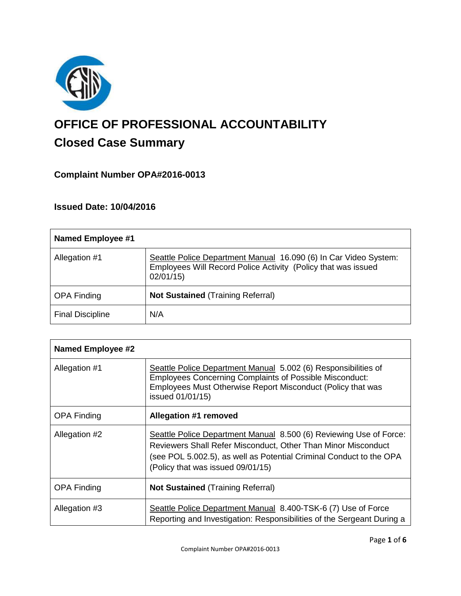

# **OFFICE OF PROFESSIONAL ACCOUNTABILITY Closed Case Summary**

# **Complaint Number OPA#2016-0013**

# **Issued Date: 10/04/2016**

| <b>Named Employee #1</b> |                                                                                                                                               |
|--------------------------|-----------------------------------------------------------------------------------------------------------------------------------------------|
| Allegation #1            | Seattle Police Department Manual 16.090 (6) In Car Video System:<br>Employees Will Record Police Activity (Policy that was issued<br>02/01/15 |
| <b>OPA Finding</b>       | <b>Not Sustained (Training Referral)</b>                                                                                                      |
| <b>Final Discipline</b>  | N/A                                                                                                                                           |

| <b>Named Employee #2</b> |                                                                                                                                                                                                                                                 |
|--------------------------|-------------------------------------------------------------------------------------------------------------------------------------------------------------------------------------------------------------------------------------------------|
| Allegation #1            | Seattle Police Department Manual 5.002 (6) Responsibilities of<br><b>Employees Concerning Complaints of Possible Misconduct:</b><br>Employees Must Otherwise Report Misconduct (Policy that was<br>issued 01/01/15)                             |
| <b>OPA Finding</b>       | Allegation #1 removed                                                                                                                                                                                                                           |
| Allegation #2            | Seattle Police Department Manual 8.500 (6) Reviewing Use of Force:<br>Reviewers Shall Refer Misconduct, Other Than Minor Misconduct<br>(see POL 5.002.5), as well as Potential Criminal Conduct to the OPA<br>(Policy that was issued 09/01/15) |
| <b>OPA Finding</b>       | <b>Not Sustained (Training Referral)</b>                                                                                                                                                                                                        |
| Allegation #3            | Seattle Police Department Manual 8.400-TSK-6 (7) Use of Force<br>Reporting and Investigation: Responsibilities of the Sergeant During a                                                                                                         |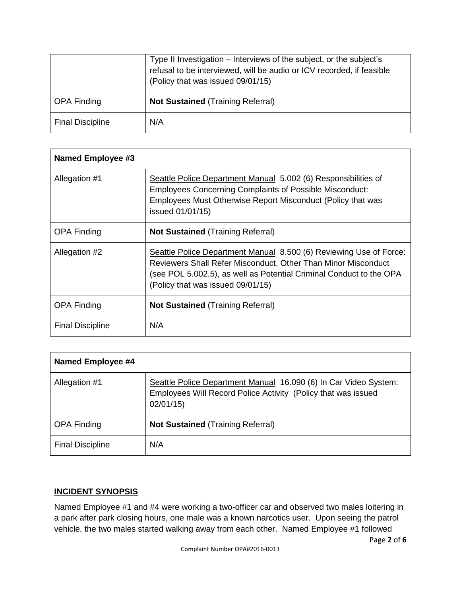|                         | Type II Investigation – Interviews of the subject, or the subject's<br>refusal to be interviewed, will be audio or ICV recorded, if feasible<br>(Policy that was issued 09/01/15) |
|-------------------------|-----------------------------------------------------------------------------------------------------------------------------------------------------------------------------------|
| <b>OPA Finding</b>      | <b>Not Sustained (Training Referral)</b>                                                                                                                                          |
| <b>Final Discipline</b> | N/A                                                                                                                                                                               |

| Named Employee #3       |                                                                                                                                                                                                                                                 |
|-------------------------|-------------------------------------------------------------------------------------------------------------------------------------------------------------------------------------------------------------------------------------------------|
| Allegation #1           | Seattle Police Department Manual 5.002 (6) Responsibilities of<br><b>Employees Concerning Complaints of Possible Misconduct:</b><br>Employees Must Otherwise Report Misconduct (Policy that was<br>issued 01/01/15)                             |
| <b>OPA Finding</b>      | <b>Not Sustained (Training Referral)</b>                                                                                                                                                                                                        |
| Allegation #2           | Seattle Police Department Manual 8.500 (6) Reviewing Use of Force:<br>Reviewers Shall Refer Misconduct, Other Than Minor Misconduct<br>(see POL 5.002.5), as well as Potential Criminal Conduct to the OPA<br>(Policy that was issued 09/01/15) |
| <b>OPA Finding</b>      | <b>Not Sustained (Training Referral)</b>                                                                                                                                                                                                        |
| <b>Final Discipline</b> | N/A                                                                                                                                                                                                                                             |

| Named Employee #4       |                                                                                                                                               |
|-------------------------|-----------------------------------------------------------------------------------------------------------------------------------------------|
| Allegation #1           | Seattle Police Department Manual 16.090 (6) In Car Video System:<br>Employees Will Record Police Activity (Policy that was issued<br>02/01/15 |
| <b>OPA Finding</b>      | <b>Not Sustained (Training Referral)</b>                                                                                                      |
| <b>Final Discipline</b> | N/A                                                                                                                                           |

#### **INCIDENT SYNOPSIS**

Named Employee #1 and #4 were working a two-officer car and observed two males loitering in a park after park closing hours, one male was a known narcotics user. Upon seeing the patrol vehicle, the two males started walking away from each other. Named Employee #1 followed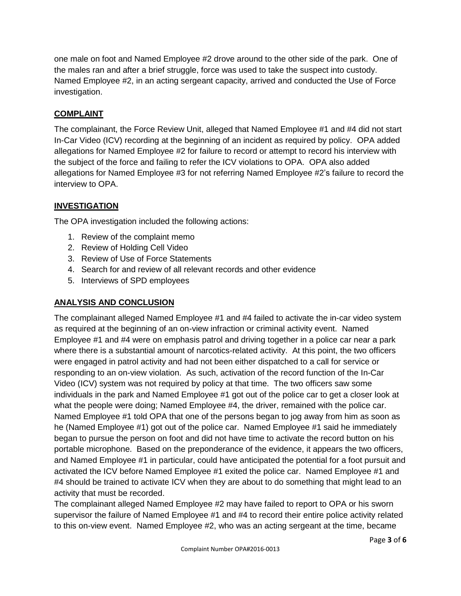one male on foot and Named Employee #2 drove around to the other side of the park. One of the males ran and after a brief struggle, force was used to take the suspect into custody. Named Employee #2, in an acting sergeant capacity, arrived and conducted the Use of Force investigation.

# **COMPLAINT**

The complainant, the Force Review Unit, alleged that Named Employee #1 and #4 did not start In-Car Video (ICV) recording at the beginning of an incident as required by policy. OPA added allegations for Named Employee #2 for failure to record or attempt to record his interview with the subject of the force and failing to refer the ICV violations to OPA. OPA also added allegations for Named Employee #3 for not referring Named Employee #2's failure to record the interview to OPA.

# **INVESTIGATION**

The OPA investigation included the following actions:

- 1. Review of the complaint memo
- 2. Review of Holding Cell Video
- 3. Review of Use of Force Statements
- 4. Search for and review of all relevant records and other evidence
- 5. Interviews of SPD employees

# **ANALYSIS AND CONCLUSION**

The complainant alleged Named Employee #1 and #4 failed to activate the in-car video system as required at the beginning of an on-view infraction or criminal activity event. Named Employee #1 and #4 were on emphasis patrol and driving together in a police car near a park where there is a substantial amount of narcotics-related activity. At this point, the two officers were engaged in patrol activity and had not been either dispatched to a call for service or responding to an on-view violation. As such, activation of the record function of the In-Car Video (ICV) system was not required by policy at that time. The two officers saw some individuals in the park and Named Employee #1 got out of the police car to get a closer look at what the people were doing; Named Employee #4, the driver, remained with the police car. Named Employee #1 told OPA that one of the persons began to jog away from him as soon as he (Named Employee #1) got out of the police car. Named Employee #1 said he immediately began to pursue the person on foot and did not have time to activate the record button on his portable microphone. Based on the preponderance of the evidence, it appears the two officers, and Named Employee #1 in particular, could have anticipated the potential for a foot pursuit and activated the ICV before Named Employee #1 exited the police car. Named Employee #1 and #4 should be trained to activate ICV when they are about to do something that might lead to an activity that must be recorded.

The complainant alleged Named Employee #2 may have failed to report to OPA or his sworn supervisor the failure of Named Employee #1 and #4 to record their entire police activity related to this on-view event. Named Employee #2, who was an acting sergeant at the time, became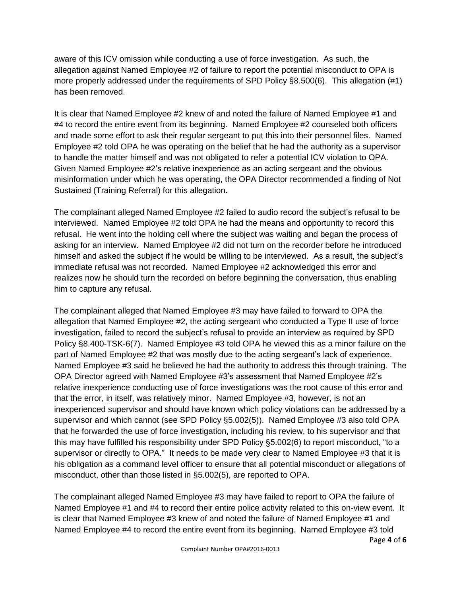aware of this ICV omission while conducting a use of force investigation. As such, the allegation against Named Employee #2 of failure to report the potential misconduct to OPA is more properly addressed under the requirements of SPD Policy §8.500(6). This allegation (#1) has been removed.

It is clear that Named Employee #2 knew of and noted the failure of Named Employee #1 and #4 to record the entire event from its beginning. Named Employee #2 counseled both officers and made some effort to ask their regular sergeant to put this into their personnel files. Named Employee #2 told OPA he was operating on the belief that he had the authority as a supervisor to handle the matter himself and was not obligated to refer a potential ICV violation to OPA. Given Named Employee #2's relative inexperience as an acting sergeant and the obvious misinformation under which he was operating, the OPA Director recommended a finding of Not Sustained (Training Referral) for this allegation.

The complainant alleged Named Employee #2 failed to audio record the subject's refusal to be interviewed. Named Employee #2 told OPA he had the means and opportunity to record this refusal. He went into the holding cell where the subject was waiting and began the process of asking for an interview. Named Employee #2 did not turn on the recorder before he introduced himself and asked the subject if he would be willing to be interviewed. As a result, the subject's immediate refusal was not recorded. Named Employee #2 acknowledged this error and realizes now he should turn the recorded on before beginning the conversation, thus enabling him to capture any refusal.

The complainant alleged that Named Employee #3 may have failed to forward to OPA the allegation that Named Employee #2, the acting sergeant who conducted a Type II use of force investigation, failed to record the subject's refusal to provide an interview as required by SPD Policy §8.400-TSK-6(7). Named Employee #3 told OPA he viewed this as a minor failure on the part of Named Employee #2 that was mostly due to the acting sergeant's lack of experience. Named Employee #3 said he believed he had the authority to address this through training. The OPA Director agreed with Named Employee #3's assessment that Named Employee #2's relative inexperience conducting use of force investigations was the root cause of this error and that the error, in itself, was relatively minor. Named Employee #3, however, is not an inexperienced supervisor and should have known which policy violations can be addressed by a supervisor and which cannot (see SPD Policy §5.002(5)). Named Employee #3 also told OPA that he forwarded the use of force investigation, including his review, to his supervisor and that this may have fulfilled his responsibility under SPD Policy §5.002(6) to report misconduct, "to a supervisor or directly to OPA." It needs to be made very clear to Named Employee #3 that it is his obligation as a command level officer to ensure that all potential misconduct or allegations of misconduct, other than those listed in §5.002(5), are reported to OPA.

The complainant alleged Named Employee #3 may have failed to report to OPA the failure of Named Employee #1 and #4 to record their entire police activity related to this on-view event. It is clear that Named Employee #3 knew of and noted the failure of Named Employee #1 and Named Employee #4 to record the entire event from its beginning. Named Employee #3 told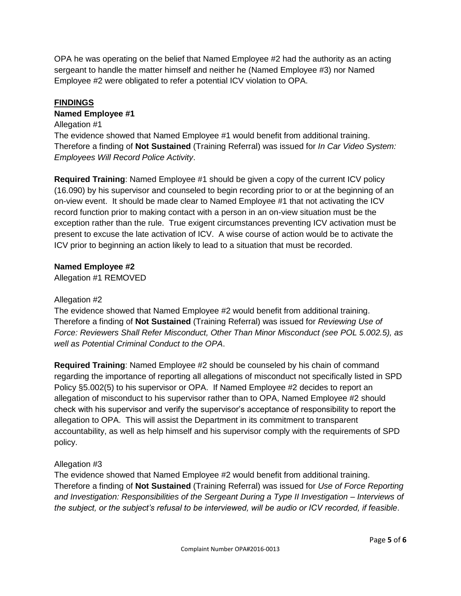OPA he was operating on the belief that Named Employee #2 had the authority as an acting sergeant to handle the matter himself and neither he (Named Employee #3) nor Named Employee #2 were obligated to refer a potential ICV violation to OPA.

# **FINDINGS**

### **Named Employee #1**

#### Allegation #1

The evidence showed that Named Employee #1 would benefit from additional training. Therefore a finding of **Not Sustained** (Training Referral) was issued for *In Car Video System: Employees Will Record Police Activity*.

**Required Training**: Named Employee #1 should be given a copy of the current ICV policy (16.090) by his supervisor and counseled to begin recording prior to or at the beginning of an on-view event. It should be made clear to Named Employee #1 that not activating the ICV record function prior to making contact with a person in an on-view situation must be the exception rather than the rule. True exigent circumstances preventing ICV activation must be present to excuse the late activation of ICV. A wise course of action would be to activate the ICV prior to beginning an action likely to lead to a situation that must be recorded.

#### **Named Employee #2**

Allegation #1 REMOVED

#### Allegation #2

The evidence showed that Named Employee #2 would benefit from additional training. Therefore a finding of **Not Sustained** (Training Referral) was issued for *Reviewing Use of Force: Reviewers Shall Refer Misconduct, Other Than Minor Misconduct (see POL 5.002.5), as well as Potential Criminal Conduct to the OPA*.

**Required Training**: Named Employee #2 should be counseled by his chain of command regarding the importance of reporting all allegations of misconduct not specifically listed in SPD Policy §5.002(5) to his supervisor or OPA. If Named Employee #2 decides to report an allegation of misconduct to his supervisor rather than to OPA, Named Employee #2 should check with his supervisor and verify the supervisor's acceptance of responsibility to report the allegation to OPA. This will assist the Department in its commitment to transparent accountability, as well as help himself and his supervisor comply with the requirements of SPD policy.

# Allegation #3

The evidence showed that Named Employee #2 would benefit from additional training. Therefore a finding of **Not Sustained** (Training Referral) was issued for *Use of Force Reporting and Investigation: Responsibilities of the Sergeant During a Type II Investigation – Interviews of the subject, or the subject's refusal to be interviewed, will be audio or ICV recorded, if feasible*.